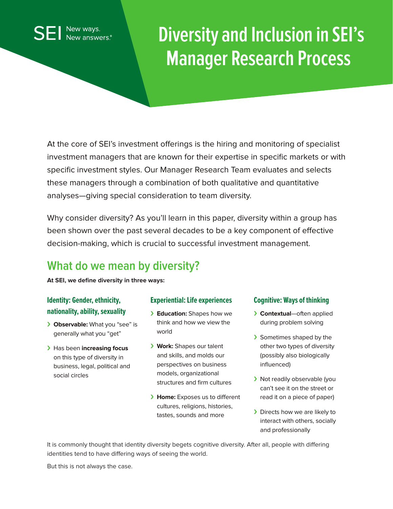# **Diversity and Inclusion in SEI's Manager Research Process**

At the core of SEI's investment offerings is the hiring and monitoring of specialist investment managers that are known for their expertise in specific markets or with specific investment styles. Our Manager Research Team evaluates and selects these managers through a combination of both qualitative and quantitative analyses—giving special consideration to team diversity.

Why consider diversity? As you'll learn in this paper, diversity within a group has been shown over the past several decades to be a key component of effective decision-making, which is crucial to successful investment management.

# **What do we mean by diversity?**

**At SEI, we define diversity in three ways:**

### **Identity: Gender, ethnicity, nationality, ability, sexuality**

New ways. New answers.<sup>®</sup>

- › **Observable:** What you "see" is generally what you "get"
- › Has been **increasing focus** on this type of diversity in business, legal, political and social circles

#### **Experiential: Life experiences**

- › **Education:** Shapes how we think and how we view the world
- › **Work:** Shapes our talent and skills, and molds our perspectives on business models, organizational structures and firm cultures
- › **Home:** Exposes us to different cultures, religions, histories, tastes, sounds and more

#### **Cognitive: Ways of thinking**

- › **Contextual**—often applied during problem solving
- > Sometimes shaped by the other two types of diversity (possibly also biologically influenced)
- › Not readily observable (you can't see it on the street or read it on a piece of paper)
- > Directs how we are likely to interact with others, socially and professionally

It is commonly thought that identity diversity begets cognitive diversity. After all, people with differing identities tend to have differing ways of seeing the world.

But this is not always the case.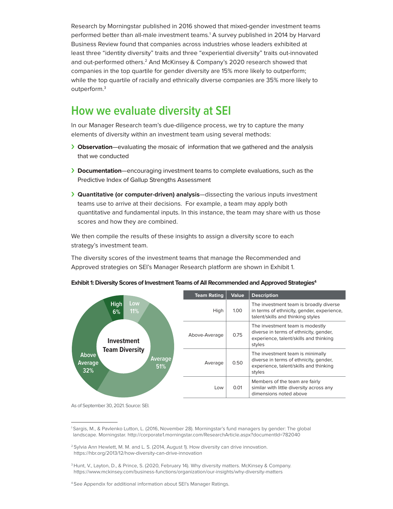Research by Morningstar published in 2016 showed that mixed-gender investment teams performed better than all-male investment teams.<sup>1</sup> A survey published in 2014 by Harvard Business Review found that companies across industries whose leaders exhibited at least three "identity diversity" traits and three "experiential diversity" traits out-innovated and out-performed others.2 And McKinsey & Company's 2020 research showed that companies in the top quartile for gender diversity are 15% more likely to outperform; while the top quartile of racially and ethnically diverse companies are 35% more likely to outperform.3

### **How we evaluate diversity at SEI**

In our Manager Research team's due-diligence process, we try to capture the many elements of diversity within an investment team using several methods:

- › **Observation**—evaluating the mosaic of information that we gathered and the analysis that we conducted
- › **Documentation**—encouraging investment teams to complete evaluations, such as the Predictive Index of Gallup Strengths Assessment
- › **Quantitative (or computer-driven) analysis**—dissecting the various inputs investment teams use to arrive at their decisions. For example, a team may apply both quantitative and fundamental inputs. In this instance, the team may share with us those scores and how they are combined.

We then compile the results of these insights to assign a diversity score to each strategy's investment team.

The diversity scores of the investment teams that manage the Recommended and Approved strategies on SEI's Manager Research platform are shown in Exhibit 1.



**Exhibit 1: Diversity Scores of Investment Teams of All Recommended and Approved Strategies<sup>4</sup>** 

As of September 30, 2021. Source: SEI.

<sup>1</sup> Sargis, M., & Pavlenko Lutton, L. (2016, November 28). Morningstar's fund managers by gender: The global landscape. Morningstar. http://corporate1.morningstar.com/ResearchArticle.aspx?documentId=782040

<sup>2</sup> Sylvia Ann Hewlett, M. M. and L. S. (2014, August 1). How diversity can drive innovation. https://hbr.org/2013/12/how-diversity-can-drive-innovation

<sup>&</sup>lt;sup>3</sup> Hunt, V., Layton, D., & Prince, S. (2020, February 14). Why diversity matters. McKinsey & Company. https://www.mckinsey.com/business-functions/organization/our-insights/why-diversity-matters

<sup>4</sup> See Appendix for additional information about SEI's Manager Ratings.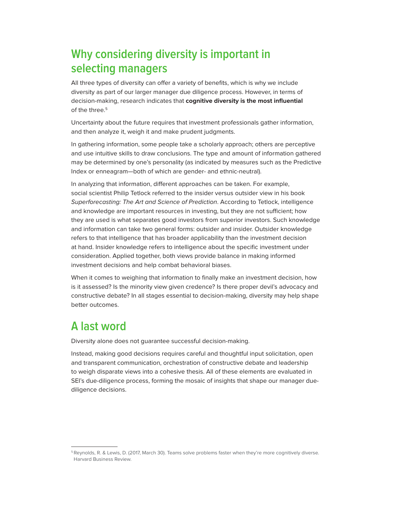# **Why considering diversity is important in selecting managers**

All three types of diversity can offer a variety of benefits, which is why we include diversity as part of our larger manager due diligence process. However, in terms of decision-making, research indicates that **cognitive diversity is the most influential** of the three.<sup>5</sup>

Uncertainty about the future requires that investment professionals gather information, and then analyze it, weigh it and make prudent judgments.

In gathering information, some people take a scholarly approach; others are perceptive and use intuitive skills to draw conclusions. The type and amount of information gathered may be determined by one's personality (as indicated by measures such as the Predictive Index or enneagram—both of which are gender- and ethnic-neutral).

In analyzing that information, different approaches can be taken. For example, social scientist Philip Tetlock referred to the insider versus outsider view in his book Superforecasting: The Art and Science of Prediction. According to Tetlock, intelligence and knowledge are important resources in investing, but they are not sufficient; how they are used is what separates good investors from superior investors. Such knowledge and information can take two general forms: outsider and insider. Outsider knowledge refers to that intelligence that has broader applicability than the investment decision at hand. Insider knowledge refers to intelligence about the specific investment under consideration. Applied together, both views provide balance in making informed investment decisions and help combat behavioral biases.

When it comes to weighing that information to finally make an investment decision, how is it assessed? Is the minority view given credence? Is there proper devil's advocacy and constructive debate? In all stages essential to decision-making, diversity may help shape better outcomes.

## **A last word**

Diversity alone does not guarantee successful decision-making.

Instead, making good decisions requires careful and thoughtful input solicitation, open and transparent communication, orchestration of constructive debate and leadership to weigh disparate views into a cohesive thesis. All of these elements are evaluated in SEI's due-diligence process, forming the mosaic of insights that shape our manager duediligence decisions.

<sup>5</sup> Reynolds, R. & Lewis, D. (2017, March 30). Teams solve problems faster when they're more cognitively diverse. Harvard Business Review.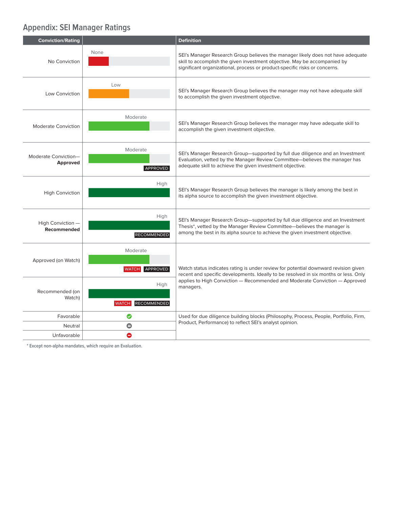### **Appendix: SEI Manager Ratings**

| <b>Conviction/Rating</b>                |                                            | <b>Definition</b>                                                                                                                                                                                                                          |
|-----------------------------------------|--------------------------------------------|--------------------------------------------------------------------------------------------------------------------------------------------------------------------------------------------------------------------------------------------|
| No Conviction                           | None                                       | SEI's Manager Research Group believes the manager likely does not have adequate<br>skill to accomplish the given investment objective. May be accompanied by<br>significant organizational, process or product-specific risks or concerns. |
| Low Conviction                          | Low                                        | SEI's Manager Research Group believes the manager may not have adequate skill<br>to accomplish the given investment objective.                                                                                                             |
| Moderate Conviction                     | Moderate                                   | SEI's Manager Research Group believes the manager may have adequate skill to<br>accomplish the given investment objective.                                                                                                                 |
| Moderate Conviction-<br><b>Approved</b> | Moderate<br>APPROVED                       | SEI's Manager Research Group—supported by full due diligence and an Investment<br>Evaluation, vetted by the Manager Review Committee-believes the manager has<br>adequate skill to achieve the given investment objective.                 |
| <b>High Conviction</b>                  | High                                       | SEI's Manager Research Group believes the manager is likely among the best in<br>its alpha source to accomplish the given investment objective.                                                                                            |
| High Conviction -<br>Recommended        | High<br><b>RECOMMENDED</b>                 | SEI's Manager Research Group-supported by full due diligence and an Investment<br>Thesis*, vetted by the Manager Review Committee-believes the manager is<br>among the best in its alpha source to achieve the given investment objective. |
| Approved (on Watch)                     | Moderate<br>WATCH APPROVED                 | Watch status indicates rating is under review for potential downward revision given<br>recent and specific developments. Ideally to be resolved in six months or less. Only                                                                |
| Recommended (on<br>Watch)               | High<br><b>RECOMMENDED</b><br><b>WATCH</b> | applies to High Conviction — Recommended and Moderate Conviction — Approved<br>managers.                                                                                                                                                   |
| Favorable                               | ◙                                          | Used for due diligence building blocks (Philosophy, Process, People, Portfolio, Firm,<br>Product, Performance) to reflect SEI's analyst opinion.                                                                                           |
| Neutral                                 | $\bullet$                                  |                                                                                                                                                                                                                                            |
| Unfavorable                             | Θ                                          |                                                                                                                                                                                                                                            |

**\* Except non-alpha mandates, which require an Evaluation.**